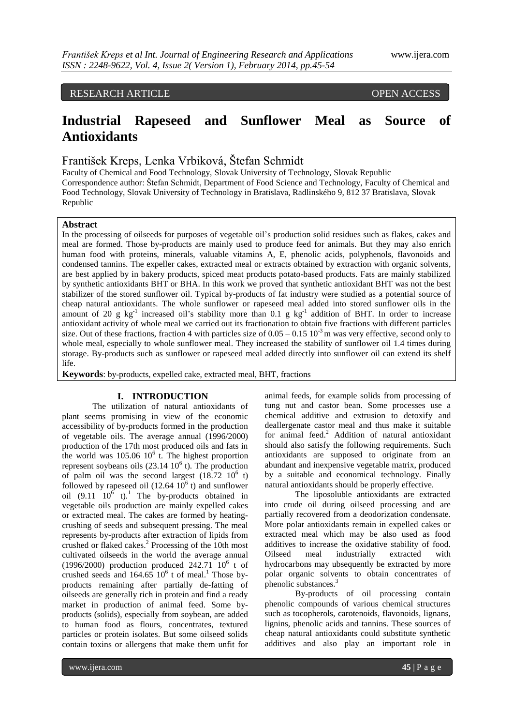# RESEARCH ARTICLE OPEN ACCESS

# **Industrial Rapeseed and Sunflower Meal as Source of Antioxidants**

František Kreps, Lenka Vrbiková, Štefan Schmidt

Faculty of Chemical and Food Technology, Slovak University of Technology, Slovak Republic Correspondence author: Štefan Schmidt, Department of Food Science and Technology, Faculty of Chemical and Food Technology, Slovak University of Technology in Bratislava, Radlinského 9, 812 37 Bratislava, Slovak Republic

#### **Abstract**

In the processing of oilseeds for purposes of vegetable oil's production solid residues such as flakes, cakes and meal are formed. Those by-products are mainly used to produce feed for animals. But they may also enrich human food with proteins, minerals, valuable vitamins A, E, phenolic acids, polyphenols, flavonoids and condensed tannins. The expeller cakes, extracted meal or extracts obtained by extraction with organic solvents, are best applied by in bakery products, spiced meat products potato-based products. Fats are mainly stabilized by synthetic antioxidants BHT or BHA. In this work we proved that synthetic antioxidant BHT was not the best stabilizer of the stored sunflower oil. Typical by-products of fat industry were studied as a potential source of cheap natural antioxidants. The whole sunflower or rapeseed meal added into stored sunflower oils in the amount of 20 g  $kg^{-1}$  increased oil's stability more than 0.1 g  $kg^{-1}$  addition of BHT. In order to increase antioxidant activity of whole meal we carried out its fractionation to obtain five fractions with different particles size. Out of these fractions, fraction 4 with particles size of  $0.05 - 0.15 \times 10^{-3}$  m was very effective, second only to whole meal, especially to whole sunflower meal. They increased the stability of sunflower oil 1.4 times during storage. By-products such as sunflower or rapeseed meal added directly into sunflower oil can extend its shelf life.

**Keywords**: by-products, expelled cake, extracted meal, BHT, fractions

#### **I. INTRODUCTION**

The utilization of natural antioxidants of plant seems promising in view of the economic accessibility of by-products formed in the production of vegetable oils. The average annual (1996/2000) production of the 17th most produced oils and fats in the world was  $105.06 \, 10^6$  t. The highest proportion represent soybeans oils  $(23.14 \ 10^6 \ t)$ . The production of palm oil was the second largest  $(18.72 \t10^6 \t t)$ followed by rapeseed oil  $(12.64 \; 10^6 \; t)$  and sunflower oil  $(9.11 \quad 10^6 \text{ t})$ .<sup>1</sup> The by-products obtained in vegetable oils production are mainly expelled cakes or extracted meal. The cakes are formed by heatingcrushing of seeds and subsequent pressing. The meal represents by-products after extraction of lipids from crushed or flaked cakes.<sup>2</sup> Processing of the 10th most cultivated oilseeds in the world the average annual (1996/2000) production produced  $242.71 \overline{10^6}$  t of crushed seeds and  $164.65 \times 10^6$  t of meal.<sup>1</sup> Those byproducts remaining after partially de-fatting of oilseeds are generally rich in protein and find a ready market in production of animal feed. Some byproducts (solids), especially from soybean, are added to human food as flours, concentrates, textured particles or protein isolates. But some oilseed solids contain toxins or allergens that make them unfit for

animal feeds, for example solids from processing of tung nut and castor bean. Some processes use a chemical additive and extrusion to detoxify and deallergenate castor meal and thus make it suitable for animal feed.<sup>2</sup> Addition of natural antioxidant should also satisfy the following requirements. Such antioxidants are supposed to originate from an abundant and inexpensive vegetable matrix, produced by a suitable and economical technology. Finally natural antioxidants should be properly effective.

The liposoluble antioxidants are extracted into crude oil during oilseed processing and are partially recovered from a deodorization condensate. More polar antioxidants remain in expelled cakes or extracted meal which may be also used as food additives to increase the oxidative stability of food. Oilseed meal industrially extracted with hydrocarbons may ubsequently be extracted by more polar organic solvents to obtain concentrates of phenolic substances.<sup>3</sup>

By-products of oil processing contain phenolic compounds of various chemical structures such as tocopherols, carotenoids, flavonoids, lignans, lignins, phenolic acids and tannins. These sources of cheap natural antioxidants could substitute synthetic additives and also play an important role in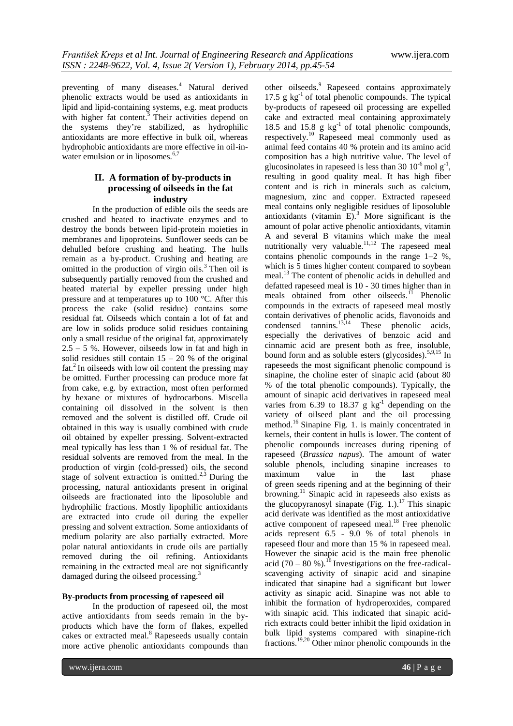preventing of many diseases.<sup>4</sup> Natural derived phenolic extracts would be used as antioxidants in lipid and lipid-containing systems, e.g. meat products with higher fat content. $5$  Their activities depend on the systems they're stabilized, as hydrophilic antioxidants are more effective in bulk oil, whereas hydrophobic antioxidants are more effective in oil-inwater emulsion or in liposomes.<sup>6,7</sup>

# **II. A formation of by-products in processing of oilseeds in the fat industry**

In the production of edible oils the seeds are crushed and heated to inactivate enzymes and to destroy the bonds between lipid-protein moieties in membranes and lipoproteins. Sunflower seeds can be dehulled before crushing and heating. The hulls remain as a by-product. Crushing and heating are omitted in the production of virgin oils. $3$  Then oil is subsequently partially removed from the crushed and heated material by expeller pressing under high pressure and at temperatures up to 100 °C. After this process the cake (solid residue) contains some residual fat. Oilseeds which contain a lot of fat and are low in solids produce solid residues containing only a small residue of the original fat, approximately 2.5 – 5 %. However, oilseeds low in fat and high in solid residues still contain  $15 - 20$  % of the original fat.<sup>2</sup> In oilseeds with low oil content the pressing may be omitted. Further processing can produce more fat from cake, e.g. by extraction, most often performed by hexane or mixtures of hydrocarbons. Miscella containing oil dissolved in the solvent is then removed and the solvent is distilled off. Crude oil obtained in this way is usually combined with crude oil obtained by expeller pressing. Solvent-extracted meal typically has less than 1 % of residual fat. The residual solvents are removed from the meal. In the production of virgin (cold-pressed) oils, the second stage of solvent extraction is omitted.<sup>2,3</sup> During the processing, natural antioxidants present in original oilseeds are fractionated into the liposoluble and hydrophilic fractions. Mostly lipophilic antioxidants are extracted into crude oil during the expeller pressing and solvent extraction. Some antioxidants of medium polarity are also partially extracted. More polar natural antioxidants in crude oils are partially removed during the oil refining. Antioxidants remaining in the extracted meal are not significantly damaged during the oilseed processing.<sup>3</sup>

#### **By-products from processing of rapeseed oil**

In the production of rapeseed oil, the most active antioxidants from seeds remain in the byproducts which have the form of flakes, expelled cakes or extracted meal.<sup>8</sup> Rapeseeds usually contain more active phenolic antioxidants compounds than

other oilseeds.<sup>9</sup> Rapeseed contains approximately 17.5 g  $kg^{-1}$  of total phenolic compounds. The typical by-products of rapeseed oil processing are expelled cake and extracted meal containing approximately 18.5 and  $15.8 \text{ g kg}^{-1}$  of total phenolic compounds, respectively.<sup>10</sup> Rapeseed meal commonly used as animal feed contains 40 % protein and its amino acid composition has a high nutritive value. The level of glucosinolates in rapeseed is less than 30  $10^{-6}$  mol g<sup>-1</sup>, resulting in good quality meal. It has high fiber content and is rich in minerals such as calcium, magnesium, zinc and copper. Extracted rapeseed meal contains only negligible residues of liposoluble antioxidants (vitamin  $E$ ).<sup>3</sup> More significant is the amount of polar active phenolic antioxidants, vitamin A and several B vitamins which make the meal nutritionally very valuable.<sup>11,12</sup> The rapeseed meal contains phenolic compounds in the range 1–2 %, which is 5 times higher content compared to soybean meal.<sup>13</sup> The content of phenolic acids in dehulled and defatted rapeseed meal is 10 - 30 times higher than in meals obtained from other oilseeds.<sup>11</sup> Phenolic compounds in the extracts of rapeseed meal mostly contain derivatives of phenolic acids, flavonoids and condensed tannins.13,14 These phenolic acids, especially the derivatives of benzoic acid and cinnamic acid are present both as free, insoluble, bound form and as soluble esters (glycosides).<sup>5,9,15</sup> In rapeseeds the most significant phenolic compound is sinapine, the choline ester of sinapic acid (about 80 % of the total phenolic compounds). Typically, the amount of sinapic acid derivatives in rapeseed meal varies from  $6.\overline{3}9$  to  $18.37$  g kg<sup>-1</sup> depending on the variety of oilseed plant and the oil processing method.<sup>16</sup> Sinapine Fig. 1. is mainly concentrated in kernels, their content in hulls is lower. The content of phenolic compounds increases during ripening of rapeseed (*Brassica napus*). The amount of water soluble phenols, including sinapine increases to maximum value in the last phase of green seeds ripening and at the beginning of their browning.<sup>11</sup> Sinapic acid in rapeseeds also exists as the glucopyranosyl sinapate (Fig.  $1$ .).<sup>17</sup> This sinapic acid derivate was identified as the most antioxidative active component of rapeseed meal. $18$  Free phenolic acids represent 6.5 - 9.0 % of total phenols in rapeseed flour and more than 15 % in rapeseed meal. However the sinapic acid is the main free phenolic acid (70 – 80 %).<sup>16</sup> Investigations on the free-radicalscavenging activity of sinapic acid and sinapine indicated that sinapine had a significant but lower activity as sinapic acid. Sinapine was not able to inhibit the formation of hydroperoxides, compared with sinapic acid. This indicated that sinapic acidrich extracts could better inhibit the lipid oxidation in bulk lipid systems compared with sinapine-rich fractions. 19,20 Other minor phenolic compounds in the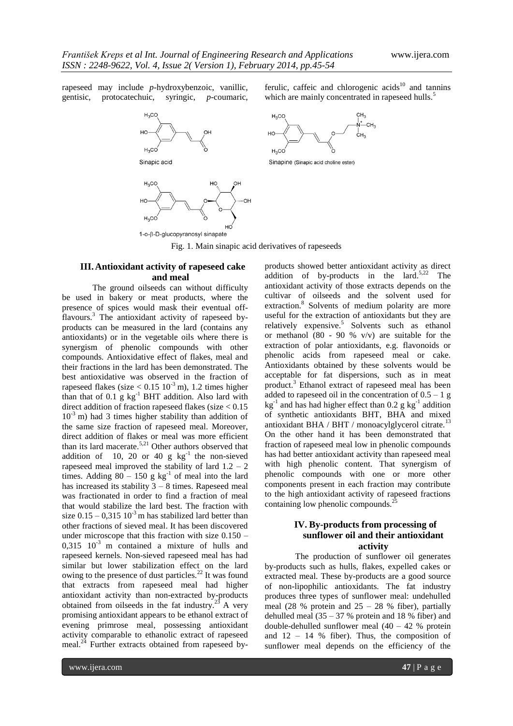rapeseed may include *p*-hydroxybenzoic, vanillic, gentisic, protocatechuic, syringic, *p*-coumaric,



ferulic, caffeic and chlorogenic  $acids<sup>10</sup>$  and tannins which are mainly concentrated in rapeseed hulls.<sup>5</sup>



Sinapine (Sinapic acid choline ester)

Fig. 1. Main sinapic acid derivatives of rapeseeds

# **III.Antioxidant activity of rapeseed cake and meal**

The ground oilseeds can without difficulty be used in bakery or meat products, where the presence of spices would mask their eventual offflavours.<sup>3</sup> The antioxidant activity of rapeseed byproducts can be measured in the lard (contains any antioxidants) or in the vegetable oils where there is synergism of phenolic compounds with other compounds. Antioxidative effect of flakes, meal and their fractions in the lard has been demonstrated. The best antioxidative was observed in the fraction of rapeseed flakes (size  $< 0.15 10^{-3}$  m), 1.2 times higher than that of  $0.1 \text{ g kg}^{-1}$  BHT addition. Also lard with direct addition of fraction rapeseed flakes (size  $< 0.15$ )  $10^{-3}$  m) had 3 times higher stability than addition of the same size fraction of rapeseed meal. Moreover, direct addition of flakes or meal was more efficient than its lard macerate.<sup>5,21</sup> Other authors observed that addition of 10, 20 or 40 g  $kg^{-1}$  the non-sieved rapeseed meal improved the stability of lard  $1.2 - 2$ times. Adding  $80 - 150$  g kg<sup>-1</sup> of meal into the lard has increased its stability  $3 - 8$  times. Rapeseed meal was fractionated in order to find a fraction of meal that would stabilize the lard best. The fraction with size  $0.15 - 0.315$  10<sup>-3</sup> m has stabilized lard better than other fractions of sieved meal. It has been discovered under microscope that this fraction with size 0.150 –  $0.315$   $10^{-3}$  m contained a mixture of hulls and rapeseed kernels. Non-sieved rapeseed meal has had similar but lower stabilization effect on the lard owing to the presence of dust particles.<sup>22</sup> It was found that extracts from rapeseed meal had higher antioxidant activity than non-extracted by-products obtained from oilseeds in the fat industry.<sup>23</sup> A very promising antioxidant appears to be ethanol extract of evening primrose meal, possessing antioxidant activity comparable to ethanolic extract of rapeseed meal.<sup>24</sup> Further extracts obtained from rapeseed byproducts showed better antioxidant activity as direct addition of by-products in the lard.<sup>5,22</sup> The antioxidant activity of those extracts depends on the cultivar of oilseeds and the solvent used for extraction.<sup>8</sup> Solvents of medium polarity are more useful for the extraction of antioxidants but they are relatively expensive.<sup>5</sup> Solvents such as ethanol or methanol  $(80 - 90 % v/v)$  are suitable for the extraction of polar antioxidants, e.g. flavonoids or phenolic acids from rapeseed meal or cake. Antioxidants obtained by these solvents would be acceptable for fat dispersions, such as in meat product.<sup>3</sup> Ethanol extract of rapeseed meal has been added to rapeseed oil in the concentration of  $0.5 - 1$  g  $kg^{-1}$  and has had higher effect than 0.2 g  $kg^{-1}$  addition of synthetic antioxidants BHT, BHA and mixed antioxidant BHA / BHT / monoacylglycerol citrate.<sup>13</sup> On the other hand it has been demonstrated that fraction of rapeseed meal low in phenolic compounds has had better antioxidant activity than rapeseed meal with high phenolic content. That synergism of phenolic compounds with one or more other components present in each fraction may contribute to the high antioxidant activity of rapeseed fractions containing low phenolic compounds.<sup>2</sup>

# **IV. By-products from processing of sunflower oil and their antioxidant activity**

The production of sunflower oil generates by-products such as hulls, flakes, expelled cakes or extracted meal. These by-products are a good source of non-lipophilic antioxidants. The fat industry produces three types of sunflower meal: undehulled meal (28 % protein and  $25 - 28$  % fiber), partially dehulled meal  $(35 - 37)$ % protein and 18 % fiber) and double-dehulled sunflower meal  $(40 - 42)$ % protein and  $12 - 14$  % fiber). Thus, the composition of sunflower meal depends on the efficiency of the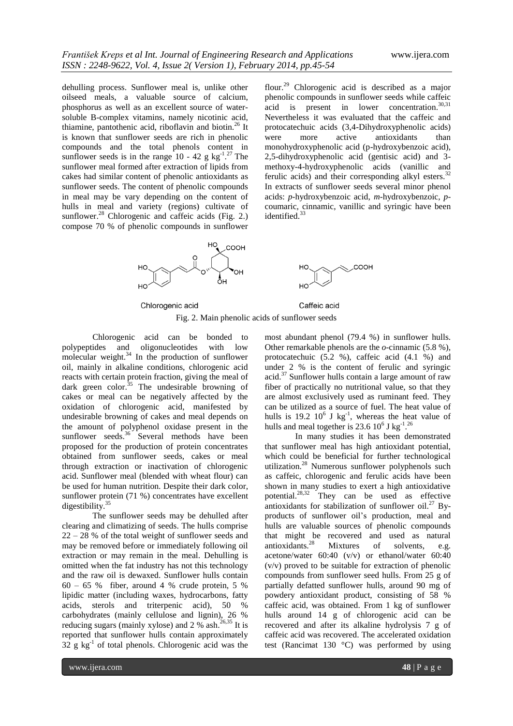dehulling process. Sunflower meal is, unlike other oilseed meals, a valuable source of calcium, phosphorus as well as an excellent source of watersoluble B-complex vitamins, namely nicotinic acid, thiamine, pantothenic acid, riboflavin and biotin.<sup>26</sup> It is known that sunflower seeds are rich in phenolic compounds and the total phenols content in sunflower seeds is in the range  $10 - 42$  g kg<sup>-1</sup>.<sup>27</sup> The sunflower meal formed after extraction of lipids from cakes had similar content of phenolic antioxidants as sunflower seeds. The content of phenolic compounds in meal may be vary depending on the content of hulls in meal and variety (regions) cultivate of sunflower.<sup>28</sup> Chlorogenic and caffeic acids (Fig. 2.) compose 70 % of phenolic compounds in sunflower flour.<sup>29</sup> Chlorogenic acid is described as a major phenolic compounds in sunflower seeds while caffeic acid is present in lower concentration.<sup>30,31</sup> Nevertheless it was evaluated that the caffeic and protocatechuic acids (3,4-Dihydroxyphenolic acids) were more active antioxidants than monohydroxyphenolic acid (p-hydroxybenzoic acid), 2,5-dihydroxyphenolic acid (gentisic acid) and 3 methoxy-4-hydroxyphenolic acids (vanillic and ferulic acids) and their corresponding alkyl esters.<sup>32</sup> In extracts of sunflower seeds several minor phenol acids: *p*-hydroxybenzoic acid, *m*-hydroxybenzoic*, p*coumaric, cinnamic, vanillic and syringic have been identified.<sup>33</sup>



Chlorogenic acid

Caffeic acid

Fig. 2. Main phenolic acids of sunflower seeds

Chlorogenic acid can be bonded to polypeptides and oligonucleotides with low molecular weight. $34$  In the production of sunflower oil, mainly in alkaline conditions, chlorogenic acid reacts with certain protein fraction, giving the meal of dark green color.<sup>35</sup> The undesirable browning of cakes or meal can be negatively affected by the oxidation of chlorogenic acid, manifested by undesirable browning of cakes and meal depends on the amount of polyphenol oxidase present in the sunflower seeds.<sup>36</sup> Several methods have been proposed for the production of protein concentrates obtained from sunflower seeds, cakes or meal through extraction or inactivation of chlorogenic acid. Sunflower meal (blended with wheat flour) can be used for human nutrition. Despite their dark color, sunflower protein (71 %) concentrates have excellent digestibility.<sup>35</sup>

The sunflower seeds may be dehulled after clearing and climatizing of seeds. The hulls comprise 22 – 28 % of the total weight of sunflower seeds and may be removed before or immediately following oil extraction or may remain in the meal. Dehulling is omitted when the fat industry has not this technology and the raw oil is dewaxed. Sunflower hulls contain  $60 - 65$  % fiber, around 4 % crude protein, 5 % lipidic matter (including waxes, hydrocarbons, fatty acids, sterols and triterpenic acid), 50 % carbohydrates (mainly cellulose and lignin), 26 % reducing sugars (mainly xylose) and 2 % ash.<sup>26,35</sup> It is reported that sunflower hulls contain approximately  $32$  g kg<sup>-1</sup> of total phenols. Chlorogenic acid was the most abundant phenol (79.4 %) in sunflower hulls. Other remarkable phenols are the *o*-cinnamic (5.8 %), protocatechuic (5.2 %), caffeic acid (4.1 %) and under 2 % is the content of ferulic and syringic acid.<sup>37</sup> Sunflower hulls contain a large amount of raw fiber of practically no nutritional value, so that they are almost exclusively used as ruminant feed. They can be utilized as a source of fuel. The heat value of hulls is 19.2  $10^6$  J kg<sup>-1</sup>, whereas the heat value of hulls and meal together is 23.6  $10^6$  J kg<sup>-1</sup>.<sup>26</sup>

In many studies it has been demonstrated that sunflower meal has high antioxidant potential, which could be beneficial for further technological utilization.<sup>28</sup> Numerous sunflower polyphenols such as caffeic, chlorogenic and ferulic acids have been shown in many studies to exert a high antioxidative potential. 28,32 They can be used as effective antioxidants for stabilization of sunflower oil.<sup>27</sup> Byproducts of sunflower oil's production, meal and hulls are valuable sources of phenolic compounds that might be recovered and used as natural antioxidants.<sup>28</sup> Mixtures of solvents, e.g. acetone/water 60:40 (v/v) or ethanol/water 60:40 (v/v) proved to be suitable for extraction of phenolic compounds from sunflower seed hulls. From 25 g of partially defatted sunflower hulls, around 90 mg of powdery antioxidant product, consisting of 58 % caffeic acid, was obtained. From 1 kg of sunflower hulls around 14 g of chlorogenic acid can be recovered and after its alkaline hydrolysis 7 g of caffeic acid was recovered. The accelerated oxidation test (Rancimat 130 °C) was performed by using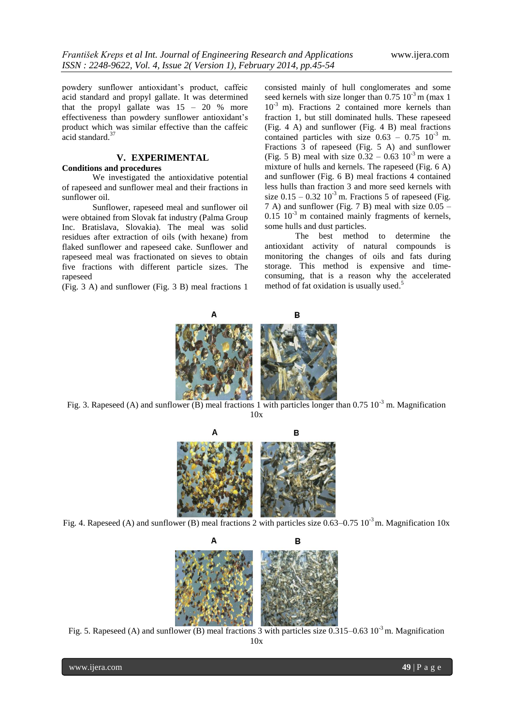powdery sunflower antioxidant's product, caffeic acid standard and propyl gallate. It was determined that the propyl gallate was  $15 - 20$  % more effectiveness than powdery sunflower antioxidant's product which was similar effective than the caffeic acid standard.<sup>37</sup>

# **V. EXPERIMENTAL**

#### **Conditions and procedures**

We investigated the antioxidative potential of rapeseed and sunflower meal and their fractions in sunflower oil.

Sunflower, rapeseed meal and sunflower oil were obtained from Slovak fat industry (Palma Group Inc. Bratislava, Slovakia). The meal was solid residues after extraction of oils (with hexane) from flaked sunflower and rapeseed cake. Sunflower and rapeseed meal was fractionated on sieves to obtain five fractions with different particle sizes. The rapeseed

(Fig. 3 A) and sunflower (Fig. 3 B) meal fractions 1

consisted mainly of hull conglomerates and some seed kernels with size longer than  $0.75 \times 10^{-3}$  m (max 1) 10-3 m). Fractions 2 contained more kernels than fraction 1, but still dominated hulls. These rapeseed (Fig. 4 A) and sunflower (Fig. 4 B) meal fractions contained particles with size  $0.63 - 0.75$  10<sup>-3</sup> m. Fractions 3 of rapeseed (Fig. 5 A) and sunflower (Fig. 5 B) meal with size  $0.32 - 0.63 \, 10^{-3}$  m were a mixture of hulls and kernels. The rapeseed (Fig. 6 A) and sunflower (Fig. 6 B) meal fractions 4 contained less hulls than fraction 3 and more seed kernels with size  $0.15 - 0.32$   $10^{-3}$  m. Fractions 5 of rapeseed (Fig. 7 A) and sunflower (Fig. 7 B) meal with size 0.05 –  $0.15 \, 10^{-3}$  m contained mainly fragments of kernels, some hulls and dust particles.

The best method to determine the antioxidant activity of natural compounds is monitoring the changes of oils and fats during storage. This method is expensive and timeconsuming, that is a reason why the accelerated method of fat oxidation is usually used. 5



Fig. 3. Rapeseed (A) and sunflower (B) meal fractions 1 with particles longer than 0.75 10<sup>-3</sup> m. Magnification 10x



Fig. 4. Rapeseed (A) and sunflower (B) meal fractions 2 with particles size 0.63–0.75  $10^{-3}$  m. Magnification 10x



Fig. 5. Rapeseed (A) and sunflower (B) meal fractions 3 with particles size  $0.315-0.63 \times 10^{-3}$  m. Magnification 10x

www.ijera.com **49** | P a g e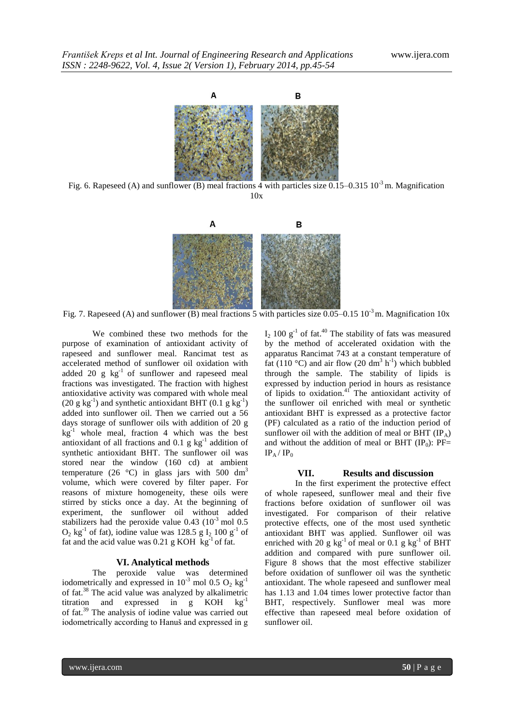

Fig. 6. Rapeseed (A) and sunflower (B) meal fractions 4 with particles size  $0.15-0.315\,10^{-3}$  m. Magnification 10x



Fig. 7. Rapeseed (A) and sunflower (B) meal fractions 5 with particles size  $0.05-0.15\ 10^{-3}$  m. Magnification 10x

We combined these two methods for the purpose of examination of antioxidant activity of rapeseed and sunflower meal. Rancimat test as accelerated method of sunflower oil oxidation with added 20  $g$   $kg^{-1}$  of sunflower and rapeseed meal fractions was investigated. The fraction with highest antioxidative activity was compared with whole meal  $(20 \text{ g kg}^{-1})$  and synthetic antioxidant BHT  $(0.1 \text{ g kg}^{-1})$ added into sunflower oil. Then we carried out a 56 days storage of sunflower oils with addition of 20 g  $kg<sup>-1</sup>$  whole meal, fraction 4 which was the best antioxidant of all fractions and  $0.1$  g kg<sup>-1</sup> addition of synthetic antioxidant BHT. The sunflower oil was stored near the window (160 cd) at ambient temperature (26 °C) in glass jars with 500 dm<sup>3</sup> volume, which were covered by filter paper. For reasons of mixture homogeneity, these oils were stirred by sticks once a day. At the beginning of experiment, the sunflower oil without added stabilizers had the peroxide value  $0.43$  ( $10^{-3}$  mol  $0.5$ )  $O_2$  kg<sup>-1</sup> of fat), iodine value was 128.5 g I<sub>2</sub> 100 g<sup>-1</sup> of fat and the acid value was  $0.21$  g KOH kg<sup>-1</sup> of fat.

## **VI. Analytical methods**

The peroxide value was determined iodometrically and expressed in  $10^{-3}$  mol 0.5 O<sub>2</sub> kg<sup>-1</sup> of fat.<sup>38</sup> The acid value was analyzed by alkalimetric titration and expressed in  $g$  KOH  $kg^{-1}$ of fat. <sup>39</sup> The analysis of iodine value was carried out iodometrically according to Hanuš and expressed in g

 $I_2$  100  $g^{-1}$  of fat.<sup>40</sup> The stability of fats was measured by the method of accelerated oxidation with the apparatus Rancimat 743 at a constant temperature of fat (110 °C) and air flow (20 dm<sup>3</sup> h<sup>-1</sup>) which bubbled through the sample. The stability of lipids is expressed by induction period in hours as resistance of lipids to oxidation.<sup>41</sup> The antioxidant activity of the sunflower oil enriched with meal or synthetic antioxidant BHT is expressed as a protective factor (PF) calculated as a ratio of the induction period of sunflower oil with the addition of meal or BHT  $(\text{IP}_A)$ and without the addition of meal or BHT  $(\text{IP}_0)$ : PF=  $IP_A / IP_0$ 

#### **VII. Results and discussion**

In the first experiment the protective effect of whole rapeseed, sunflower meal and their five fractions before oxidation of sunflower oil was investigated. For comparison of their relative protective effects, one of the most used synthetic antioxidant BHT was applied. Sunflower oil was enriched with 20 g kg<sup>-1</sup> of meal or 0.1 g kg<sup>-1</sup> of BHT addition and compared with pure sunflower oil. Figure 8 shows that the most effective stabilizer before oxidation of sunflower oil was the synthetic antioxidant. The whole rapeseed and sunflower meal has 1.13 and 1.04 times lower protective factor than BHT, respectively. Sunflower meal was more effective than rapeseed meal before oxidation of sunflower oil.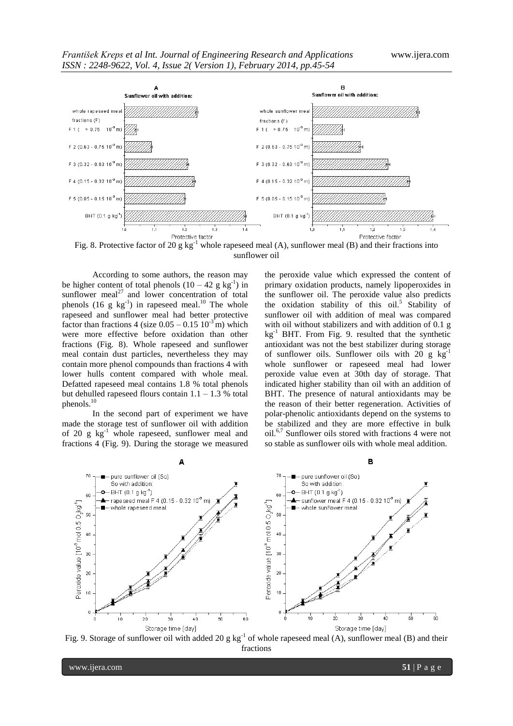

sunflower oil

According to some authors, the reason may be higher content of total phenols  $(10 - 42 \text{ g kg}^{-1})$  in sunflower meal<sup>27</sup> and lower concentration of total phenols (16 g  $kg^{-1}$ ) in rapeseed meal.<sup>10</sup> The whole rapeseed and sunflower meal had better protective factor than fractions 4 (size  $0.05 - 0.15 \times 10^{-3}$  m) which were more effective before oxidation than other fractions (Fig. 8). Whole rapeseed and sunflower meal contain dust particles, nevertheless they may contain more phenol compounds than fractions 4 with lower hulls content compared with whole meal. Defatted rapeseed meal contains 1.8 % total phenols but dehulled rapeseed flours contain  $1.1 - 1.3$  % total phenols.<sup>10</sup>

In the second part of experiment we have made the storage test of sunflower oil with addition of 20 g  $kg^{-1}$  whole rapeseed, sunflower meal and fractions 4 (Fig. 9). During the storage we measured the peroxide value which expressed the content of primary oxidation products, namely lipoperoxides in the sunflower oil. The peroxide value also predicts the oxidation stability of this  $oil.<sup>5</sup>$  Stability of sunflower oil with addition of meal was compared with oil without stabilizers and with addition of 0.1 g kg-1 BHT. From Fig. 9. resulted that the synthetic antioxidant was not the best stabilizer during storage of sunflower oils. Sunflower oils with 20 g  $kg^{-1}$ whole sunflower or rapeseed meal had lower peroxide value even at 30th day of storage. That indicated higher stability than oil with an addition of BHT. The presence of natural antioxidants may be the reason of their better regeneration. Activities of polar-phenolic antioxidants depend on the systems to be stabilized and they are more effective in bulk oil.6,7 Sunflower oils stored with fractions 4 were not so stable as sunflower oils with whole meal addition.



Fig. 9. Storage of sunflower oil with added 20 g  $kg^{-1}$  of whole rapeseed meal (A), sunflower meal (B) and their fractions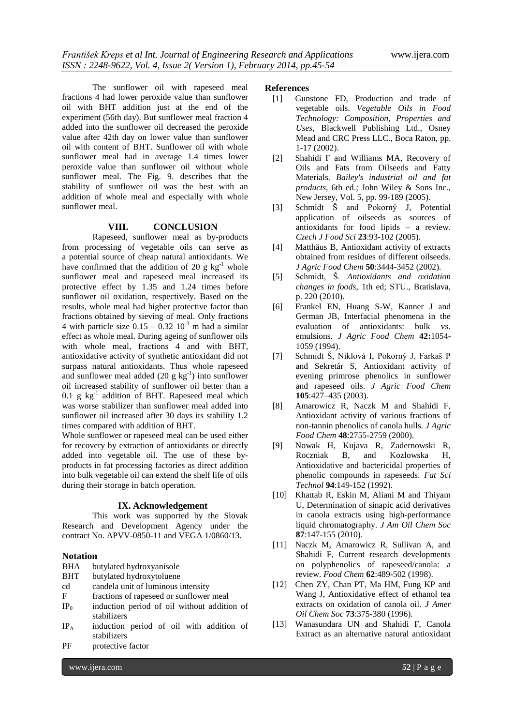The sunflower oil with rapeseed meal fractions 4 had lower peroxide value than sunflower oil with BHT addition just at the end of the experiment (56th day). But sunflower meal fraction 4 added into the sunflower oil decreased the peroxide value after 42th day on lower value than sunflower oil with content of BHT. Sunflower oil with whole sunflower meal had in average 1.4 times lower peroxide value than sunflower oil without whole sunflower meal. The Fig. 9. describes that the stability of sunflower oil was the best with an addition of whole meal and especially with whole sunflower meal.

## **VIII. CONCLUSION**

Rapeseed, sunflower meal as by-products from processing of vegetable oils can serve as a potential source of cheap natural antioxidants. We have confirmed that the addition of 20 g  $kg^{-1}$  whole sunflower meal and rapeseed meal increased its protective effect by 1.35 and 1.24 times before sunflower oil oxidation, respectively. Based on the results, whole meal had higher protective factor than fractions obtained by sieving of meal. Only fractions 4 with particle size  $0.15 - 0.32 \times 10^{-3}$  m had a similar effect as whole meal. During ageing of sunflower oils with whole meal, fractions 4 and with BHT, antioxidative activity of synthetic antioxidant did not surpass natural antioxidants. Thus whole rapeseed and sunflower meal added  $(20 \text{ g kg}^{-1})$  into sunflower oil increased stability of sunflower oil better than a  $0.1$  g kg<sup>-1</sup> addition of BHT. Rapeseed meal which was worse stabilizer than sunflower meal added into sunflower oil increased after 30 days its stability 1.2 times compared with addition of BHT.

Whole sunflower or rapeseed meal can be used either for recovery by extraction of antioxidants or directly added into vegetable oil. The use of these byproducts in fat processing factories as direct addition into bulk vegetable oil can extend the shelf life of oils during their storage in batch operation.

#### **IX. Acknowledgement**

This work was supported by the Slovak Research and Development Agency under the contract No. APVV-0850-11 and VEGA 1/0860/13.

#### **Notation**

- BHA butylated hydroxyanisole
- BHT butylated hydroxytoluene
- cd candela unit of luminous intensity
- F fractions of rapeseed or sunflower meal
- $IP<sub>0</sub>$  induction period of oil without addition of stabilizers
- IP<sup>A</sup> induction period of oil with addition of stabilizers
- PF protective factor

## **References**

- [1] Gunstone FD, Production and trade of vegetable oils. *Vegetable Oils in Food Technology: Composition, Properties and Uses*, Blackwell Publishing Ltd., Osney Mead and CRC Press LLC., Boca Raton, pp. 1-17 (2002).
- [2] Shahidi F and Williams MA, Recovery of Oils and Fats from Oilseeds and Fatty Materials. *Bailey's industrial oil and fat products*, 6th ed.; John Wiley & Sons Inc., New Jersey, Vol. 5, pp. 99-189 (2005).
- [3] Schmidt Š and Pokorný J, Potential application of oilseeds as sources of antioxidants for food lipids – a review. *Czech J Food Sci* **23**:93-102 (2005).
- [4] Matthäus B, Antioxidant activity of extracts obtained from residues of different oilseeds. *J Agric Food Chem* **50**:3444-3452 (2002).
- [5] Schmidt, Š. *Antioxidants and oxidation changes in foods*, 1th ed; STU., Bratislava, p. 220 (2010).
- [6] Frankel EN, Huang S-W, Kanner J and German JB, Interfacial phenomena in the evaluation of antioxidants: bulk vs. emulsions. *J Agric Food Chem* **42:**1054- 1059 (1994).
- [7] Schmidt Š, Niklová I, Pokorný J, Farkaš P and Sekretár S, Antioxidant activity of evening primrose phenolics in sunflower and rapeseed oils. *J Agric Food Chem*  **105**:427–435 (2003).
- [8] Amarowicz R, Naczk M and Shahidi F, Antioxidant activity of various fractions of non-tannin phenolics of canola hulls. *J Agric Food Chem* **48**:2755-2759 (2000).
- [9] Nowak H, Kujava R, Zadernowski R, Roczniak B, and Kozlowska H, Antioxidative and bactericidal properties of phenolic compounds in rapeseeds. *Fat Sci Technol* **94**:149-152 (1992).
- [10] Khattab R, Eskin M, Aliani M and Thiyam U, Determination of sinapic acid derivatives in canola extracts using high-performance liquid chromatography. *J Am Oil Chem Soc* **87**:147-155 (2010).
- [11] Naczk M, Amarowicz R, Sullivan A, and Shahidi F, Current research developments on polyphenolics of rapeseed/canola: a review. *Food Chem* **62**:489-502 (1998).
- [12] Chen ZY, Chan PT, Ma HM, Fung KP and Wang J, Antioxidative effect of ethanol tea extracts on oxidation of canola oil. *J Amer Oil Chem Soc* **73**:375-380 (1996).
- [13] Wanasundara UN and Shahidi F, Canola Extract as an alternative natural antioxidant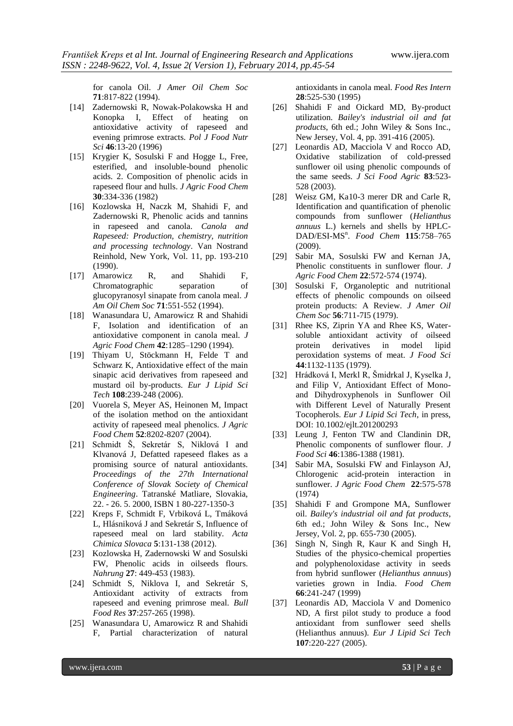for canola Oil. *J Amer Oil Chem Soc* **71**:817-822 (1994).

- [14] Zadernowski R, Nowak-Polakowska H and Konopka I, Effect of heating on antioxidative activity of rapeseed and evening primrose extracts. *Pol J Food Nutr Sci* **46**:13-20 (1996)
- [15] Krygier K, Sosulski F and Hogge L, Free, esterified, and insoluble-bound phenolic acids. 2. Composition of phenolic acids in rapeseed flour and hulls. *J Agric Food Chem* **30**:334-336 (1982)
- [16] Kozlowska H, Naczk M, Shahidi F, and Zadernowski R, Phenolic acids and tannins in rapeseed and canola. *Canola and Rapeseed: Production, chemistry, nutrition and processing technology*. Van Nostrand Reinhold, New York, Vol. 11, pp. 193-210 (1990).
- [17] Amarowicz R, and Shahidi F, Chromatographic separation of glucopyranosyl sinapate from canola meal. *J Am Oil Chem Soc* **71**:551-552 (1994).
- [18] Wanasundara U, Amarowicz R and Shahidi F, Isolation and identification of an antioxidative component in canola meal. *J Agric Food Chem* **42**:1285–1290 (1994).
- [19] Thiyam U, Stöckmann H, Felde T and Schwarz K, Antioxidative effect of the main sinapic acid derivatives from rapeseed and mustard oil by-products. *Eur J Lipid Sci Tech* **108**:239-248 (2006).
- [20] Vuorela S, Meyer AS, Heinonen M, Impact of the isolation method on the antioxidant activity of rapeseed meal phenolics*. J Agric Food Chem* **52**:8202-8207 (2004).
- [21] Schmidt Š, Sekretár S, Niklová I and Klvanová J, Defatted rapeseed flakes as a promising source of natural antioxidants. *Proceedings of the 27th International Conference of Slovak Society of Chemical Engineering*. Tatranské Matliare, Slovakia, 22. - 26. 5. 2000, ISBN 1 80-227-1350-3
- [22] Kreps F, Schmidt F, Vrbiková L, Tmáková L, Hlásniková J and Sekretár S, Influence of rapeseed meal on lard stability. *Acta Chimica Slovaca* **5**:131-138 (2012).
- [23] Kozlowska H, Zadernowski W and Sosulski FW, Phenolic acids in oilseeds flours. *Nahrung* **27**: 449-453 (1983).
- [24] Schmidt S, Niklova I, and Sekretár S, Antioxidant activity of extracts from rapeseed and evening primrose meal. *Bull Food Res* **37**:257-265 (1998).
- [25] Wanasundara U, Amarowicz R and Shahidi F, Partial characterization of natural

antioxidants in canola meal. *Food Res Intern* **28**:525-530 (1995)

- [26] Shahidi F and Oickard MD, By-product utilization. *Bailey's industrial oil and fat products*, 6th ed.; John Wiley & Sons Inc., New Jersey, Vol. 4, pp. 391-416 (2005).
- [27] Leonardis AD, Macciola V and Rocco AD, Oxidative stabilization of cold-pressed sunflower oil using phenolic compounds of the same seeds. *J Sci Food Agric* **83**:523- 528 (2003).
- [28] Weisz GM, Ka10-3 merer DR and Carle R, Identification and quantification of phenolic compounds from sunflower (*Helianthus annuus* L.) kernels and shells by HPLC-DAD/ESI-MS<sup>n</sup>. Food Chem 115:758-765 (2009).
- [29] Sabir MA, Sosulski FW and Kernan JA, Phenolic constituents in sunflower flour. *J Agric Food Chem* **22**:572-574 (1974).
- [30] Sosulski F, Organoleptic and nutritional effects of phenolic compounds on oilseed protein products: A Review. *J Amer Oil Chem Soc* **56**:711-7I5 (1979).
- [31] Rhee KS, Ziprin YA and Rhee KS, Watersoluble antioxidant activity of oilseed protein derivatives in model lipid peroxidation systems of meat. *J Food Sci* **44**:1132-1135 (1979).
- [32] Hrádková I, Merkl R, Šmidrkal J, Kyselka J, and Filip V, Antioxidant Effect of Monoand Dihydroxyphenols in Sunflower Oil with Different Level of Naturally Present Tocopherols. *Eur J Lipid Sci Tech*, in press, DOI: 10.1002/ejlt.201200293
- [33] Leung J, Fenton TW and Clandinin DR, Phenolic components of sunflower flour. *J Food Sci* **46**:1386-1388 (1981).
- [34] Sabir MA, Sosulski FW and Finlayson AJ, Chlorogenic acid-protein interaction in sunflower. *J Agric Food Chem* **22**:575-578 (1974)
- [35] Shahidi F and Grompone MA, Sunflower oil. *Bailey's industrial oil and fat products*, 6th ed.; John Wiley & Sons Inc., New Jersey, Vol. 2, pp. 655-730 (2005).
- [36] Singh N, Singh R, Kaur K and Singh H, Studies of the physico-chemical properties and polyphenoloxidase activity in seeds from hybrid sunflower (*Helianthus annuus*) varieties grown in India. *Food Chem* **66**:241-247 (1999)
- [37] Leonardis AD, Macciola V and Domenico ND, A first pilot study to produce a food antioxidant from sunflower seed shells (Helianthus annuus). *Eur J Lipid Sci Tech* **107**:220-227 (2005).